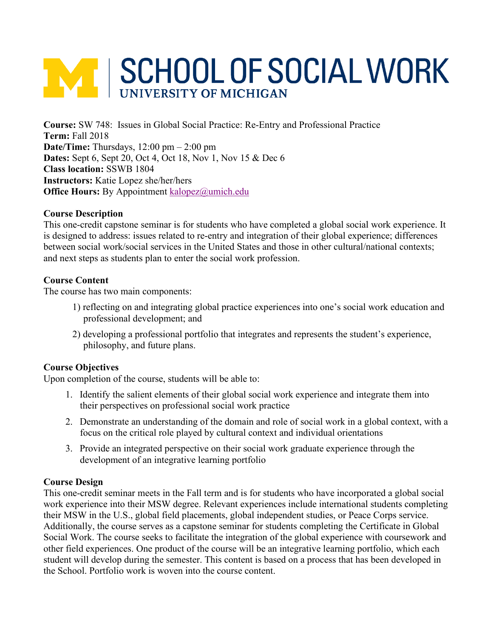# **M SCHOOL OF SOCIAL WORK**

**Course:** SW 748: Issues in Global Social Practice: Re-Entry and Professional Practice **Term:** Fall 2018 **Date/Time:** Thursdays, 12:00 pm – 2:00 pm **Dates:** Sept 6, Sept 20, Oct 4, Oct 18, Nov 1, Nov 15 & Dec 6 **Class location:** SSWB 1804 **Instructors:** Katie Lopez she/her/hers **Office Hours:** By Appointment kalopez@umich.edu

## **Course Description**

This one-credit capstone seminar is for students who have completed a global social work experience. It is designed to address: issues related to re-entry and integration of their global experience; differences between social work/social services in the United States and those in other cultural/national contexts; and next steps as students plan to enter the social work profession.

## **Course Content**

The course has two main components:

- 1) reflecting on and integrating global practice experiences into one's social work education and professional development; and
- 2) developing a professional portfolio that integrates and represents the student's experience, philosophy, and future plans.

## **Course Objectives**

Upon completion of the course, students will be able to:

- 1. Identify the salient elements of their global social work experience and integrate them into their perspectives on professional social work practice
- 2. Demonstrate an understanding of the domain and role of social work in a global context, with a focus on the critical role played by cultural context and individual orientations
- 3. Provide an integrated perspective on their social work graduate experience through the development of an integrative learning portfolio

## **Course Design**

This one-credit seminar meets in the Fall term and is for students who have incorporated a global social work experience into their MSW degree. Relevant experiences include international students completing their MSW in the U.S., global field placements, global independent studies, or Peace Corps service. Additionally, the course serves as a capstone seminar for students completing the Certificate in Global Social Work. The course seeks to facilitate the integration of the global experience with coursework and other field experiences. One product of the course will be an integrative learning portfolio, which each student will develop during the semester. This content is based on a process that has been developed in the School. Portfolio work is woven into the course content.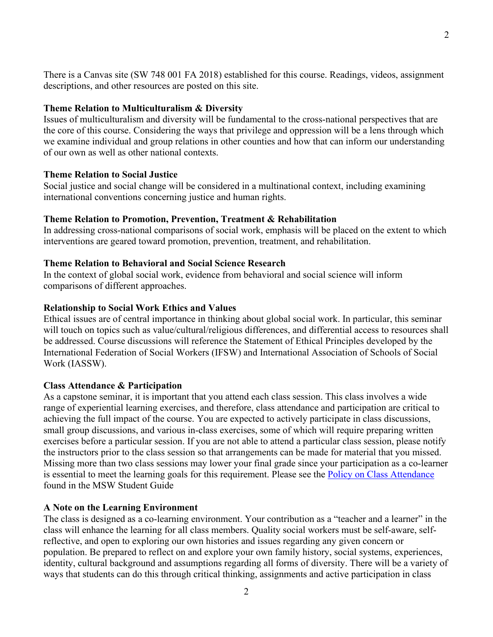There is a Canvas site (SW 748 001 FA 2018) established for this course. Readings, videos, assignment descriptions, and other resources are posted on this site.

## **Theme Relation to Multiculturalism & Diversity**

Issues of multiculturalism and diversity will be fundamental to the cross-national perspectives that are the core of this course. Considering the ways that privilege and oppression will be a lens through which we examine individual and group relations in other counties and how that can inform our understanding of our own as well as other national contexts.

#### **Theme Relation to Social Justice**

Social justice and social change will be considered in a multinational context, including examining international conventions concerning justice and human rights.

#### **Theme Relation to Promotion, Prevention, Treatment & Rehabilitation**

In addressing cross-national comparisons of social work, emphasis will be placed on the extent to which interventions are geared toward promotion, prevention, treatment, and rehabilitation.

### **Theme Relation to Behavioral and Social Science Research**

In the context of global social work, evidence from behavioral and social science will inform comparisons of different approaches.

#### **Relationship to Social Work Ethics and Values**

Ethical issues are of central importance in thinking about global social work. In particular, this seminar will touch on topics such as value/cultural/religious differences, and differential access to resources shall be addressed. Course discussions will reference the Statement of Ethical Principles developed by the International Federation of Social Workers (IFSW) and International Association of Schools of Social Work (IASSW).

#### **Class Attendance & Participation**

As a capstone seminar, it is important that you attend each class session. This class involves a wide range of experiential learning exercises, and therefore, class attendance and participation are critical to achieving the full impact of the course. You are expected to actively participate in class discussions, small group discussions, and various in-class exercises, some of which will require preparing written exercises before a particular session. If you are not able to attend a particular class session, please notify the instructors prior to the class session so that arrangements can be made for material that you missed. Missing more than two class sessions may lower your final grade since your participation as a co-learner is essential to meet the learning goals for this requirement. Please see the Policy on Class Attendance found in the MSW Student Guide

#### **A Note on the Learning Environment**

The class is designed as a co-learning environment. Your contribution as a "teacher and a learner" in the class will enhance the learning for all class members. Quality social workers must be self-aware, selfreflective, and open to exploring our own histories and issues regarding any given concern or population. Be prepared to reflect on and explore your own family history, social systems, experiences, identity, cultural background and assumptions regarding all forms of diversity. There will be a variety of ways that students can do this through critical thinking, assignments and active participation in class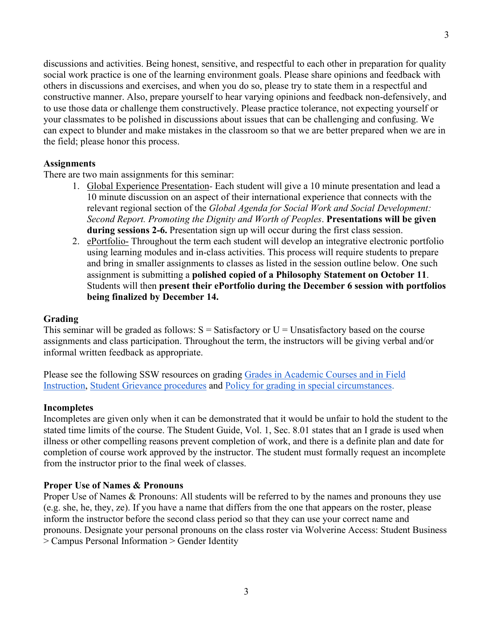discussions and activities. Being honest, sensitive, and respectful to each other in preparation for quality social work practice is one of the learning environment goals. Please share opinions and feedback with others in discussions and exercises, and when you do so, please try to state them in a respectful and constructive manner. Also, prepare yourself to hear varying opinions and feedback non-defensively, and to use those data or challenge them constructively. Please practice tolerance, not expecting yourself or your classmates to be polished in discussions about issues that can be challenging and confusing. We can expect to blunder and make mistakes in the classroom so that we are better prepared when we are in the field; please honor this process.

#### **Assignments**

There are two main assignments for this seminar:

- 1. Global Experience Presentation*-* Each student will give a 10 minute presentation and lead a 10 minute discussion on an aspect of their international experience that connects with the relevant regional section of the *Global Agenda for Social Work and Social Development: Second Report. Promoting the Dignity and Worth of Peoples*. **Presentations will be given during sessions 2-6.** Presentation sign up will occur during the first class session.
- 2. ePortfolio- Throughout the term each student will develop an integrative electronic portfolio using learning modules and in-class activities. This process will require students to prepare and bring in smaller assignments to classes as listed in the session outline below. One such assignment is submitting a **polished copied of a Philosophy Statement on October 11**. Students will then **present their ePortfolio during the December 6 session with portfolios being finalized by December 14.**

#### **Grading**

This seminar will be graded as follows:  $S = S$ atisfactory or  $U = U$ nsatisfactory based on the course assignments and class participation. Throughout the term, the instructors will be giving verbal and/or informal written feedback as appropriate.

Please see the following SSW resources on grading Grades in Academic Courses and in Field Instruction, Student Grievance procedures and Policy for grading in special circumstances.

#### **Incompletes**

Incompletes are given only when it can be demonstrated that it would be unfair to hold the student to the stated time limits of the course. The Student Guide, Vol. 1, Sec. 8.01 states that an I grade is used when illness or other compelling reasons prevent completion of work, and there is a definite plan and date for completion of course work approved by the instructor. The student must formally request an incomplete from the instructor prior to the final week of classes.

#### **Proper Use of Names & Pronouns**

Proper Use of Names & Pronouns: All students will be referred to by the names and pronouns they use (e.g. she, he, they, ze). If you have a name that differs from the one that appears on the roster, please inform the instructor before the second class period so that they can use your correct name and pronouns. Designate your personal pronouns on the class roster via Wolverine Access: Student Business > Campus Personal Information > Gender Identity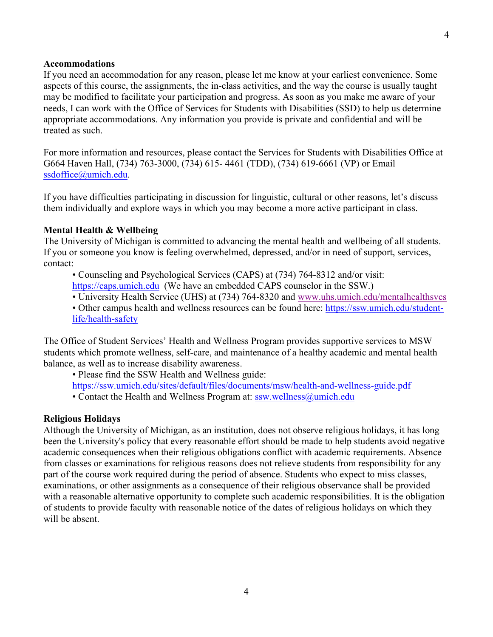#### **Accommodations**

If you need an accommodation for any reason, please let me know at your earliest convenience. Some aspects of this course, the assignments, the in-class activities, and the way the course is usually taught may be modified to facilitate your participation and progress. As soon as you make me aware of your needs, I can work with the Office of Services for Students with Disabilities (SSD) to help us determine appropriate accommodations. Any information you provide is private and confidential and will be treated as such.

For more information and resources, please contact the Services for Students with Disabilities Office at G664 Haven Hall, (734) 763-3000, (734) 615- 4461 (TDD), (734) 619-6661 (VP) or Email ssdoffice@umich.edu.

If you have difficulties participating in discussion for linguistic, cultural or other reasons, let's discuss them individually and explore ways in which you may become a more active participant in class.

#### **Mental Health & Wellbeing**

The University of Michigan is committed to advancing the mental health and wellbeing of all students. If you or someone you know is feeling overwhelmed, depressed, and/or in need of support, services, contact:

• Counseling and Psychological Services (CAPS) at (734) 764-8312 and/or visit:

https://caps.umich.edu (We have an embedded CAPS counselor in the SSW.)

• University Health Service (UHS) at (734) 764-8320 and www.uhs.umich.edu/mentalhealthsvcs

• Other campus health and wellness resources can be found here: https://ssw.umich.edu/studentlife/health-safety

The Office of Student Services' Health and Wellness Program provides supportive services to MSW students which promote wellness, self-care, and maintenance of a healthy academic and mental health balance, as well as to increase disability awareness.

• Please find the SSW Health and Wellness guide:

https://ssw.umich.edu/sites/default/files/documents/msw/health-and-wellness-guide.pdf

• Contact the Health and Wellness Program at: ssw.wellness@umich.edu

#### **Religious Holidays**

Although the University of Michigan, as an institution, does not observe religious holidays, it has long been the University's policy that every reasonable effort should be made to help students avoid negative academic consequences when their religious obligations conflict with academic requirements. Absence from classes or examinations for religious reasons does not relieve students from responsibility for any part of the course work required during the period of absence. Students who expect to miss classes, examinations, or other assignments as a consequence of their religious observance shall be provided with a reasonable alternative opportunity to complete such academic responsibilities. It is the obligation of students to provide faculty with reasonable notice of the dates of religious holidays on which they will be absent.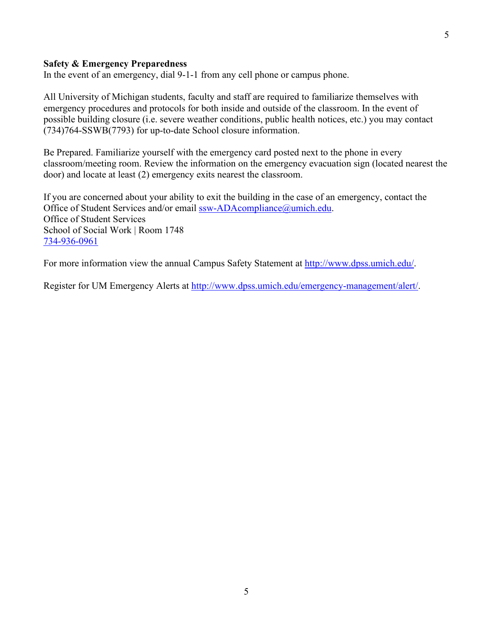#### **Safety & Emergency Preparedness**

In the event of an emergency, dial 9-1-1 from any cell phone or campus phone.

All University of Michigan students, faculty and staff are required to familiarize themselves with emergency procedures and protocols for both inside and outside of the classroom. In the event of possible building closure (i.e. severe weather conditions, public health notices, etc.) you may contact (734)764-SSWB(7793) for up-to-date School closure information.

Be Prepared. Familiarize yourself with the emergency card posted next to the phone in every classroom/meeting room. Review the information on the emergency evacuation sign (located nearest the door) and locate at least (2) emergency exits nearest the classroom.

If you are concerned about your ability to exit the building in the case of an emergency, contact the Office of Student Services and/or email ssw-ADAcompliance@umich.edu. Office of Student Services School of Social Work | Room 1748 734-936-0961

For more information view the annual Campus Safety Statement at  $\frac{http://www.dpss.umich.edu/}{http://www.dpss.umich.edu/}.$ 

Register for UM Emergency Alerts at http://www.dpss.umich.edu/emergency-management/alert/.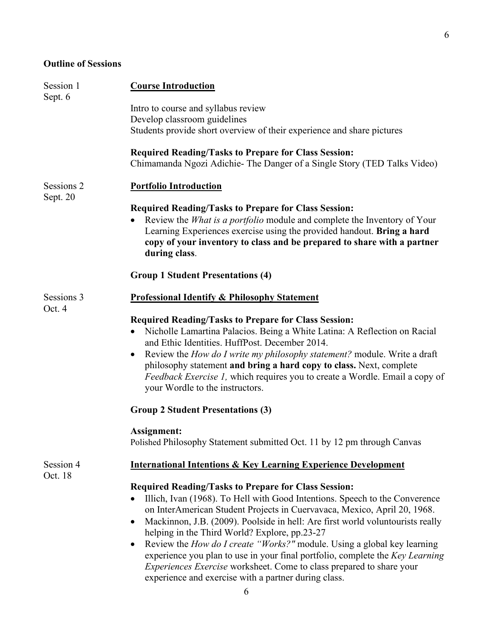6

# **Outline of Sessions**

| Session 1<br>Sept. 6   | <b>Course Introduction</b>                                                                                                                                                                                                                                                                                                                                                                                                                                                                                                                                                                                                                                                |
|------------------------|---------------------------------------------------------------------------------------------------------------------------------------------------------------------------------------------------------------------------------------------------------------------------------------------------------------------------------------------------------------------------------------------------------------------------------------------------------------------------------------------------------------------------------------------------------------------------------------------------------------------------------------------------------------------------|
|                        | Intro to course and syllabus review<br>Develop classroom guidelines<br>Students provide short overview of their experience and share pictures                                                                                                                                                                                                                                                                                                                                                                                                                                                                                                                             |
|                        | <b>Required Reading/Tasks to Prepare for Class Session:</b><br>Chimamanda Ngozi Adichie-The Danger of a Single Story (TED Talks Video)                                                                                                                                                                                                                                                                                                                                                                                                                                                                                                                                    |
| Sessions 2<br>Sept. 20 | <b>Portfolio Introduction</b>                                                                                                                                                                                                                                                                                                                                                                                                                                                                                                                                                                                                                                             |
|                        | <b>Required Reading/Tasks to Prepare for Class Session:</b><br>Review the <i>What is a portfolio</i> module and complete the Inventory of Your<br>Learning Experiences exercise using the provided handout. Bring a hard<br>copy of your inventory to class and be prepared to share with a partner<br>during class.                                                                                                                                                                                                                                                                                                                                                      |
|                        | <b>Group 1 Student Presentations (4)</b>                                                                                                                                                                                                                                                                                                                                                                                                                                                                                                                                                                                                                                  |
| Sessions 3<br>Oct. 4   | <b>Professional Identify &amp; Philosophy Statement</b>                                                                                                                                                                                                                                                                                                                                                                                                                                                                                                                                                                                                                   |
|                        | <b>Required Reading/Tasks to Prepare for Class Session:</b><br>Nicholle Lamartina Palacios. Being a White Latina: A Reflection on Racial<br>$\bullet$<br>and Ethic Identities. HuffPost. December 2014.<br>Review the <i>How do I write my philosophy statement?</i> module. Write a draft<br>$\bullet$<br>philosophy statement and bring a hard copy to class. Next, complete<br><i>Feedback Exercise 1</i> , which requires you to create a Wordle. Email a copy of<br>your Wordle to the instructors.                                                                                                                                                                  |
|                        | <b>Group 2 Student Presentations (3)</b>                                                                                                                                                                                                                                                                                                                                                                                                                                                                                                                                                                                                                                  |
|                        | <b>Assignment:</b><br>Polished Philosophy Statement submitted Oct. 11 by 12 pm through Canvas                                                                                                                                                                                                                                                                                                                                                                                                                                                                                                                                                                             |
| Session 4<br>Oct. 18   | <b>International Intentions &amp; Key Learning Experience Development</b>                                                                                                                                                                                                                                                                                                                                                                                                                                                                                                                                                                                                 |
|                        | <b>Required Reading/Tasks to Prepare for Class Session:</b><br>Illich, Ivan (1968). To Hell with Good Intentions. Speech to the Converence<br>on InterAmerican Student Projects in Cuervavaca, Mexico, April 20, 1968.<br>Mackinnon, J.B. (2009). Poolside in hell: Are first world voluntourists really<br>$\bullet$<br>helping in the Third World? Explore, pp.23-27<br>Review the How do I create "Works?" module. Using a global key learning<br>experience you plan to use in your final portfolio, complete the Key Learning<br><i>Experiences Exercise</i> worksheet. Come to class prepared to share your<br>experience and exercise with a partner during class. |